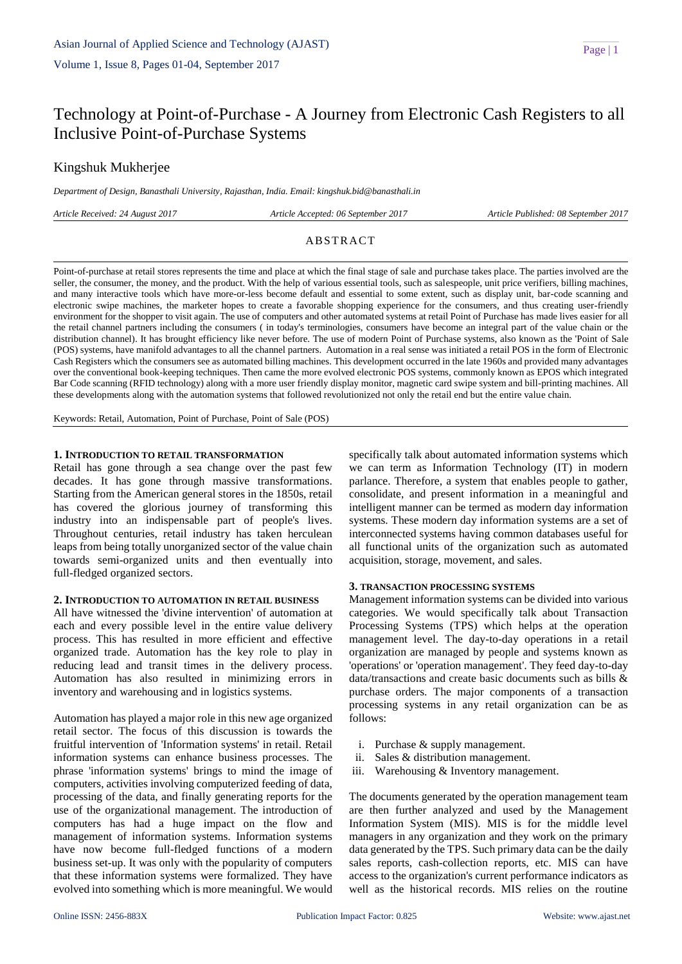# Technology at Point-of-Purchase - A Journey from Electronic Cash Registers to all Inclusive Point-of-Purchase Systems

# Kingshuk Mukherjee

*Department of Design, Banasthali University, Rajasthan, India. Email: kingshuk.bid@banasthali.in*

*Article Received: 24 August 2017 Article Accepted: 06 September 2017 Article Published: 08 September 2017*

# **ABSTRACT**

Point-of-purchase at retail stores represents the time and place at which the final stage of sale and purchase takes place. The parties involved are the seller, the consumer, the money, and the product. With the help of various essential tools, such as salespeople, unit price verifiers, billing machines, and many interactive tools which have more-or-less become default and essential to some extent, such as display unit, bar-code scanning and electronic swipe machines, the marketer hopes to create a favorable shopping experience for the consumers, and thus creating user-friendly environment for the shopper to visit again. The use of computers and other automated systems at retail Point of Purchase has made lives easier for all the retail channel partners including the consumers ( in today's terminologies, consumers have become an integral part of the value chain or the distribution channel). It has brought efficiency like never before. The use of modern Point of Purchase systems, also known as the 'Point of Sale (POS) systems, have manifold advantages to all the channel partners. Automation in a real sense was initiated a retail POS in the form of Electronic Cash Registers which the consumers see as automated billing machines. This development occurred in the late 1960s and provided many advantages over the conventional book-keeping techniques. Then came the more evolved electronic POS systems, commonly known as EPOS which integrated Bar Code scanning (RFID technology) along with a more user friendly display monitor, magnetic card swipe system and bill-printing machines. All these developments along with the automation systems that followed revolutionized not only the retail end but the entire value chain.

Keywords: Retail, Automation, Point of Purchase, Point of Sale (POS)

# **1. INTRODUCTION TO RETAIL TRANSFORMATION**

Retail has gone through a sea change over the past few decades. It has gone through massive transformations. Starting from the American general stores in the 1850s, retail has covered the glorious journey of transforming this industry into an indispensable part of people's lives. Throughout centuries, retail industry has taken herculean leaps from being totally unorganized sector of the value chain towards semi-organized units and then eventually into full-fledged organized sectors.

### **2. INTRODUCTION TO AUTOMATION IN RETAIL BUSINESS**

All have witnessed the 'divine intervention' of automation at each and every possible level in the entire value delivery process. This has resulted in more efficient and effective organized trade. Automation has the key role to play in reducing lead and transit times in the delivery process. Automation has also resulted in minimizing errors in inventory and warehousing and in logistics systems.

Automation has played a major role in this new age organized retail sector. The focus of this discussion is towards the fruitful intervention of 'Information systems' in retail. Retail information systems can enhance business processes. The phrase 'information systems' brings to mind the image of computers, activities involving computerized feeding of data, processing of the data, and finally generating reports for the use of the organizational management. The introduction of computers has had a huge impact on the flow and management of information systems. Information systems have now become full-fledged functions of a modern business set-up. It was only with the popularity of computers that these information systems were formalized. They have evolved into something which is more meaningful. We would

specifically talk about automated information systems which we can term as Information Technology (IT) in modern parlance. Therefore, a system that enables people to gather, consolidate, and present information in a meaningful and intelligent manner can be termed as modern day information systems. These modern day information systems are a set of interconnected systems having common databases useful for all functional units of the organization such as automated acquisition, storage, movement, and sales.

# **3. TRANSACTION PROCESSING SYSTEMS**

Management information systems can be divided into various categories. We would specifically talk about Transaction Processing Systems (TPS) which helps at the operation management level. The day-to-day operations in a retail organization are managed by people and systems known as 'operations' or 'operation management'. They feed day-to-day data/transactions and create basic documents such as bills & purchase orders. The major components of a transaction processing systems in any retail organization can be as follows:

- i. Purchase & supply management.
- ii. Sales & distribution management.
- iii. Warehousing & Inventory management.

The documents generated by the operation management team are then further analyzed and used by the Management Information System (MIS). MIS is for the middle level managers in any organization and they work on the primary data generated by the TPS. Such primary data can be the daily sales reports, cash-collection reports, etc. MIS can have access to the organization's current performance indicators as well as the historical records. MIS relies on the routine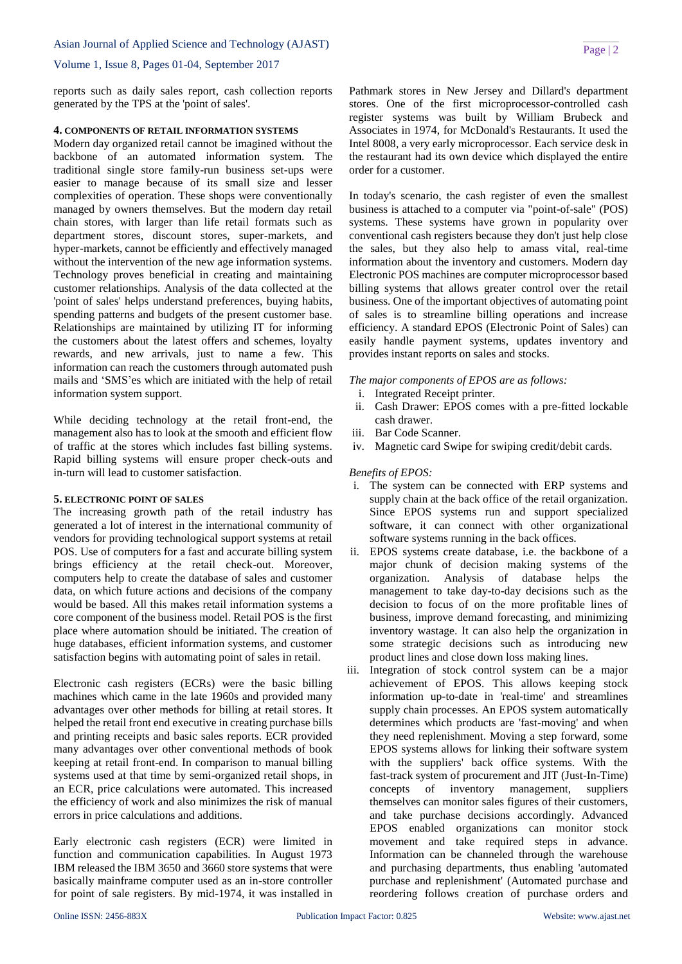Asian Journal of Applied Science and Technology (AJAST)

### Volume 1, Issue 8, Pages 01-04, September 2017

reports such as daily sales report, cash collection reports generated by the TPS at the 'point of sales'.

# **4. COMPONENTS OF RETAIL INFORMATION SYSTEMS**

Modern day organized retail cannot be imagined without the backbone of an automated information system. The traditional single store family-run business set-ups were easier to manage because of its small size and lesser complexities of operation. These shops were conventionally managed by owners themselves. But the modern day retail chain stores, with larger than life retail formats such as department stores, discount stores, super-markets, and hyper-markets, cannot be efficiently and effectively managed without the intervention of the new age information systems. Technology proves beneficial in creating and maintaining customer relationships. Analysis of the data collected at the 'point of sales' helps understand preferences, buying habits, spending patterns and budgets of the present customer base. Relationships are maintained by utilizing IT for informing the customers about the latest offers and schemes, loyalty rewards, and new arrivals, just to name a few. This information can reach the customers through automated push mails and 'SMS'es which are initiated with the help of retail information system support.

While deciding technology at the retail front-end, the management also has to look at the smooth and efficient flow of traffic at the stores which includes fast billing systems. Rapid billing systems will ensure proper check-outs and in-turn will lead to customer satisfaction.

# **5. ELECTRONIC POINT OF SALES**

The increasing growth path of the retail industry has generated a lot of interest in the international community of vendors for providing technological support systems at retail POS. Use of computers for a fast and accurate billing system brings efficiency at the retail check-out. Moreover, computers help to create the database of sales and customer data, on which future actions and decisions of the company would be based. All this makes retail information systems a core component of the business model. Retail POS is the first place where automation should be initiated. The creation of huge databases, efficient information systems, and customer satisfaction begins with automating point of sales in retail.

Electronic cash registers (ECRs) were the basic billing machines which came in the late 1960s and provided many advantages over other methods for billing at retail stores. It helped the retail front end executive in creating purchase bills and printing receipts and basic sales reports. ECR provided many advantages over other conventional methods of book keeping at retail front-end. In comparison to manual billing systems used at that time by semi-organized retail shops, in an ECR, price calculations were automated. This increased the efficiency of work and also minimizes the risk of manual errors in price calculations and additions.

Early electronic [cash registers](http://research.omicsgroup.org/index.php/Cash_registers) (ECR) were limited in function and communication capabilities. In August 1973 IBM released the IBM 3650 and 3660 store systems that were basically mainframe computer used as an in-store controller for point of sale registers. By mid-1974, it was installed in [Pathmark](http://research.omicsgroup.org/index.php/Pathmark) stores in New Jersey and [Dillard's](http://research.omicsgroup.org/index.php/Dillard%27s) department stores. One of the first microprocessor-controlled cash register systems was built by William Brubeck and Associates in 1974, for McDonald's Restaurants. It used the [Intel 8008,](http://research.omicsgroup.org/index.php/Intel_8008) a very early microprocessor. Each service desk in the restaurant had its own device which displayed the entire order for a customer.

In today's scenario, the cash register of even the smallest business is attached to a computer via "point-of-sale" (POS) systems. These systems have grown in popularity over conventional cash registers because they don't just help close the sales, but they also help to amass vital, real-time information about the inventory and customers. Modern day Electronic POS machines are computer microprocessor based billing systems that allows greater control over the retail business. One of the important objectives of automating point of sales is to streamline billing operations and increase efficiency. A standard EPOS (Electronic Point of Sales) can easily handle payment systems, updates inventory and provides instant reports on sales and stocks.

*The major components of EPOS are as follows:*

- i. Integrated Receipt printer.
- ii. Cash Drawer: EPOS comes with a pre-fitted lockable cash drawer.
- iii. Bar Code Scanner.
- iv. Magnetic card Swipe for swiping credit/debit cards.

### *Benefits of EPOS:*

- i. The system can be connected with ERP systems and supply chain at the back office of the retail organization. Since EPOS systems run and support specialized software, it can connect with other organizational software systems running in the back offices.
- ii. EPOS systems create database, i.e. the backbone of a major chunk of decision making systems of the organization. Analysis of database helps the management to take day-to-day decisions such as the decision to focus of on the more profitable lines of business, improve demand forecasting, and minimizing inventory wastage. It can also help the organization in some strategic decisions such as introducing new product lines and close down loss making lines.
- iii. Integration of stock control system can be a major achievement of EPOS. This allows keeping stock information up-to-date in 'real-time' and streamlines supply chain processes. An EPOS system automatically determines which products are 'fast-moving' and when they need replenishment. Moving a step forward, some EPOS systems allows for linking their software system with the suppliers' back office systems. With the fast-track system of procurement and JIT (Just-In-Time) concepts of inventory management, suppliers themselves can monitor sales figures of their customers, and take purchase decisions accordingly. Advanced EPOS enabled organizations can monitor stock movement and take required steps in advance. Information can be channeled through the warehouse and purchasing departments, thus enabling 'automated purchase and replenishment' (Automated purchase and reordering follows creation of purchase orders and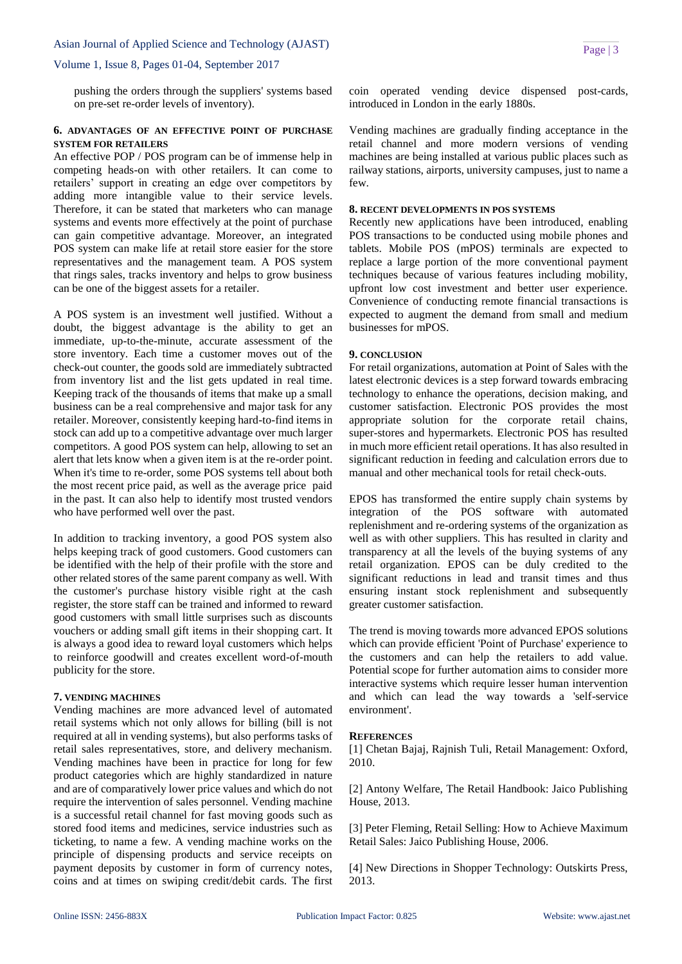#### Asian Journal of Applied Science and Technology (AJAST)

### Volume 1, Issue 8, Pages 01-04, September 2017

pushing the orders through the suppliers' systems based on pre-set re-order levels of inventory).

# **6. ADVANTAGES OF AN EFFECTIVE POINT OF PURCHASE SYSTEM FOR RETAILERS**

An effective POP / POS program can be of immense help in competing heads-on with other retailers. It can come to retailers' support in creating an edge over competitors by adding more intangible value to their service levels. Therefore, it can be stated that marketers who can manage systems and events more effectively at the point of purchase can gain competitive advantage. Moreover, an integrated POS system can make life at retail store easier for the store representatives and the management team. A POS system that rings sales, tracks inventory and helps to grow business can be one of the biggest assets for a retailer.

A POS system is an investment well justified. Without a doubt, the biggest advantage is the ability to get an immediate, up-to-the-minute, accurate assessment of the store inventory. Each time a customer moves out of the check-out counter, the goods sold are immediately subtracted from inventory list and the list gets updated in real time. Keeping track of the thousands of items that make up a small business can be a real comprehensive and major task for any retailer. Moreover, consistently keeping hard-to-find items in stock can add up to a competitive advantage over much larger competitors. A good POS system can help, allowing to set an alert that lets know when a given item is at the re-order point. When it's time to re-order, some POS systems tell about both the most recent price paid, as well as the average price paid in the past. It can also help to identify most trusted vendors who have performed well over the past.

In addition to tracking inventory, a good POS system also helps keeping track of good customers. Good customers can be identified with the help of their profile with the store and other related stores of the same parent company as well. With the customer's purchase history visible right at the cash register, the store staff can be trained and informed to reward good customers with small little surprises such as discounts vouchers or adding small gift items in their shopping cart. It is always a good idea to reward loyal customers which helps to reinforce goodwill and creates excellent word-of-mouth publicity for the store.

### **7. VENDING MACHINES**

Vending machines are more advanced level of automated retail systems which not only allows for billing (bill is not required at all in vending systems), but also performs tasks of retail sales representatives, store, and delivery mechanism. Vending machines have been in practice for long for few product categories which are highly standardized in nature and are of comparatively lower price values and which do not require the intervention of sales personnel. Vending machine is a successful retail channel for fast moving goods such as stored food items and medicines, service industries such as ticketing, to name a few. A vending machine works on the principle of dispensing products and service receipts on payment deposits by customer in form of currency notes, coins and at times on swiping credit/debit cards. The first coin operated vending device dispensed post-cards, introduced in London in the early 1880s.

Vending machines are gradually finding acceptance in the retail channel and more modern versions of vending machines are being installed at various public places such as railway stations, airports, university campuses, just to name a few.

# **8. RECENT DEVELOPMENTS IN POS SYSTEMS**

Recently new applications have been introduced, enabling POS transactions to be conducted using mobile phones and tablets. Mobile POS (mPOS) terminals are expected to replace a large portion of the more conventional payment techniques because of various features including mobility, upfront low cost investment and better user experience. Convenience of conducting remote financial transactions is expected to augment the demand from small and medium businesses for mPOS.

#### **9. CONCLUSION**

For retail organizations, automation at Point of Sales with the latest electronic devices is a step forward towards embracing technology to enhance the operations, decision making, and customer satisfaction. Electronic POS provides the most appropriate solution for the corporate retail chains, super-stores and hypermarkets. Electronic POS has resulted in much more efficient retail operations. It has also resulted in significant reduction in feeding and calculation errors due to manual and other mechanical tools for retail check-outs.

EPOS has transformed the entire supply chain systems by integration of the POS software with automated replenishment and re-ordering systems of the organization as well as with other suppliers. This has resulted in clarity and transparency at all the levels of the buying systems of any retail organization. EPOS can be duly credited to the significant reductions in lead and transit times and thus ensuring instant stock replenishment and subsequently greater customer satisfaction.

The trend is moving towards more advanced EPOS solutions which can provide efficient 'Point of Purchase' experience to the customers and can help the retailers to add value. Potential scope for further automation aims to consider more interactive systems which require lesser human intervention and which can lead the way towards a 'self-service environment'.

### **REFERENCES**

[1] Chetan Bajaj, Rajnish Tuli, Retail Management: Oxford, 2010.

[2] Antony Welfare, The Retail Handbook: Jaico Publishing House, 2013.

[3] Peter Fleming, Retail Selling: How to Achieve Maximum Retail Sales: Jaico Publishing House, 2006.

[4] New Directions in Shopper Technology: Outskirts Press, 2013.